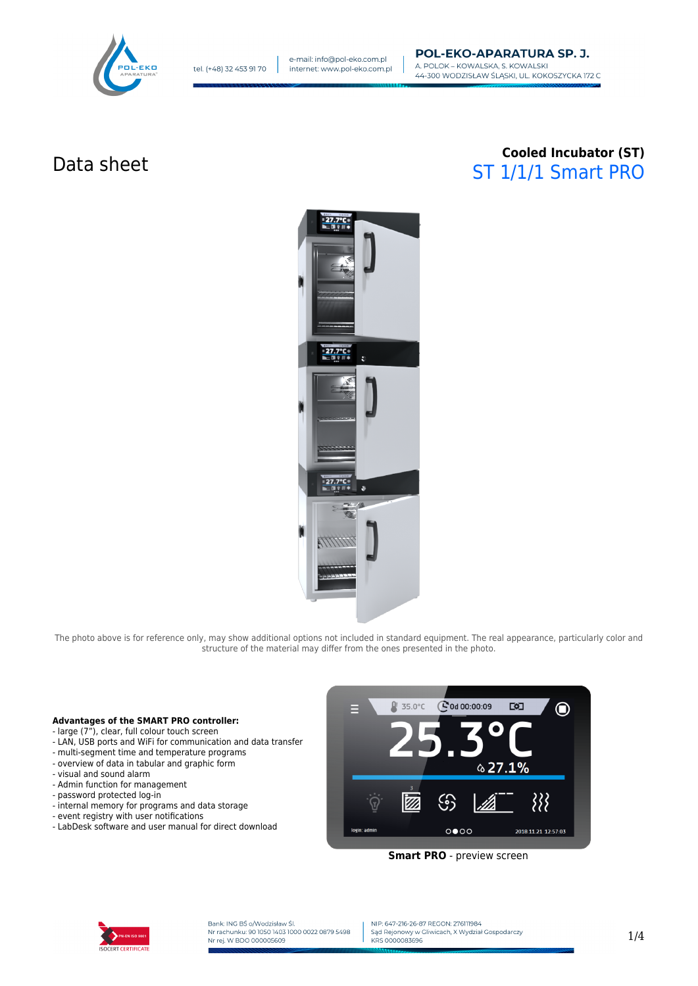

# Data sheet **Cooled Incubator (ST)** ST 1/1/1 Smart PRO



The photo above is for reference only, may show additional options not included in standard equipment. The real appearance, particularly color and structure of the material may differ from the ones presented in the photo.

#### **Advantages of the SMART PRO controller:**

- large (7"), clear, full colour touch screen
- LAN, USB ports and WiFi for communication and data transfer
- multi-segment time and temperature programs
- overview of data in tabular and graphic form
- visual and sound alarm
- Admin function for management
- password protected log-in
- internal memory for programs and data storage
- event registry with user notifications
- LabDesk software and user manual for direct download



**Smart PRO** - preview screen



Bank: ING BŚ o/Wodzisław Śl.<br>Nr rachunku: 90 1050 1403 1000 0022 0879 5498 Nr rej. W BDO 000005609

NIP: 647-216-26-87 REGON: 276111984 Sad Rejonowy w Gliwicach, X Wydział Gospodarczy KRS 0000083696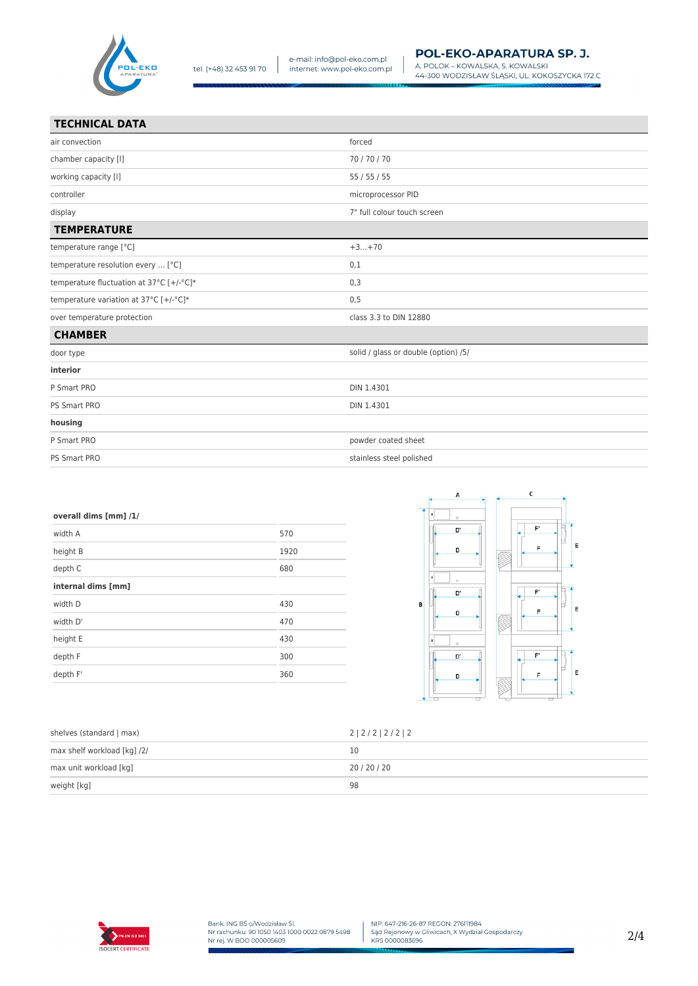

| air convection                           | forced                               |
|------------------------------------------|--------------------------------------|
| chamber capacity [I]                     | 70/70/70                             |
| working capacity [I]                     | 55/55/55                             |
| controller                               | microprocessor PID                   |
| display                                  | 7" full colour touch screen          |
| <b>TEMPERATURE</b>                       |                                      |
| temperature range [°C]                   | $+3+70$                              |
| temperature resolution every  [°C]       | 0,1                                  |
| temperature fluctuation at 37°C [+/-°C]* | 0,3                                  |
| temperature variation at 37°C [+/-°C]*   | 0,5                                  |
| over temperature protection              | class 3.3 to DIN 12880               |
| <b>CHAMBER</b>                           |                                      |
| door type                                | solid / glass or double (option) /5/ |
| interior                                 |                                      |
| P Smart PRO                              | DIN 1.4301                           |
| PS Smart PRO                             | DIN 1.4301                           |
| housing                                  |                                      |
| P Smart PRO                              | powder coated sheet                  |
| PS Smart PRO                             | stainless steel polished             |

| overall dims [mm] /1/ |      |
|-----------------------|------|
| width A               | 570  |
| height B              | 1920 |
| depth C               | 680  |
| internal dims [mm]    |      |
| width D               | 430  |
| width D'              | 470  |
| height E              | 430  |
| depth F               | 300  |
| depth F'              | 360  |
|                       |      |



| shelves (standard   max)    | 2 2 / 2   2 / 2   2 |
|-----------------------------|---------------------|
| max shelf workload [kg] /2/ | 10                  |
| max unit workload [kg]      | 20/20/20            |
| weight [kg]                 | 98                  |

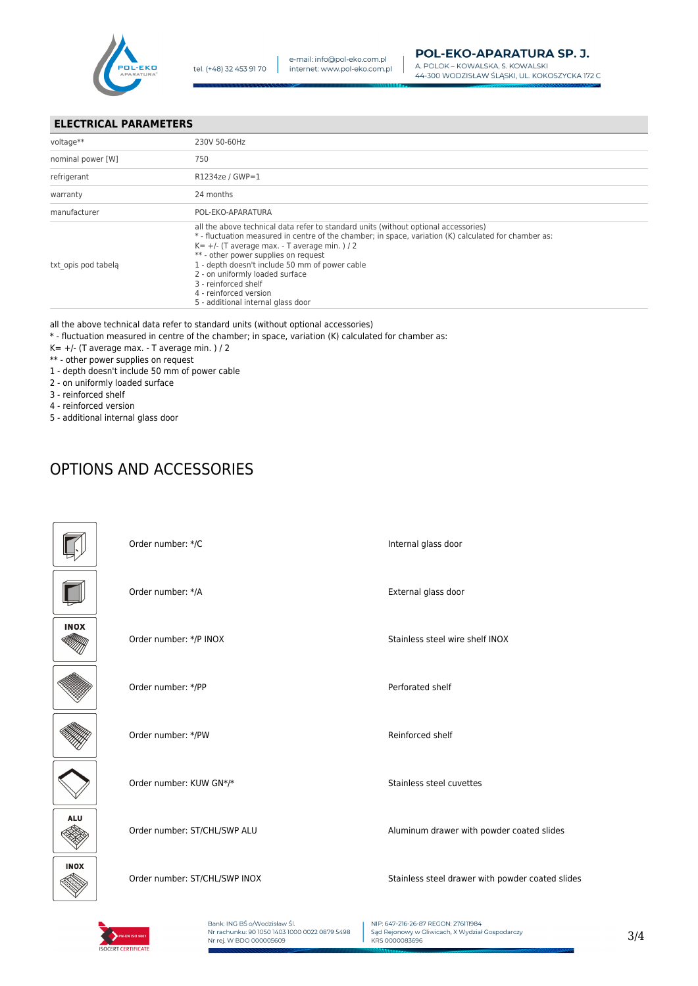

### **ELECTRICAL PARAMETERS**

| voltage**           | 230V 50-60Hz                                                                                                                                                                                                                                                                                                                                                                                                                                                          |
|---------------------|-----------------------------------------------------------------------------------------------------------------------------------------------------------------------------------------------------------------------------------------------------------------------------------------------------------------------------------------------------------------------------------------------------------------------------------------------------------------------|
| nominal power [W]   | 750                                                                                                                                                                                                                                                                                                                                                                                                                                                                   |
| refrigerant         | R1234ze / GWP=1                                                                                                                                                                                                                                                                                                                                                                                                                                                       |
| warranty            | 24 months                                                                                                                                                                                                                                                                                                                                                                                                                                                             |
| manufacturer        | POL-EKO-APARATURA                                                                                                                                                                                                                                                                                                                                                                                                                                                     |
| txt opis pod tabela | all the above technical data refer to standard units (without optional accessories)<br>* - fluctuation measured in centre of the chamber; in space, variation (K) calculated for chamber as:<br>$K = +/-$ (T average max. - T average min. ) / 2<br>** - other power supplies on request<br>1 - depth doesn't include 50 mm of power cable<br>2 - on uniformly loaded surface<br>3 - reinforced shelf<br>4 - reinforced version<br>5 - additional internal glass door |

#### all the above technical data refer to standard units (without optional accessories)

- \* fluctuation measured in centre of the chamber; in space, variation (K) calculated for chamber as:
- $K= +/-$  (T average max. T average min. ) / 2
- \*\* other power supplies on request
- 1 depth doesn't include 50 mm of power cable
- 2 on uniformly loaded surface
- 3 reinforced shelf
- 4 reinforced version
- 5 additional internal glass door

## OPTIONS AND ACCESSORIES

|             | Order number: */C             | Internal glass door                              |
|-------------|-------------------------------|--------------------------------------------------|
|             | Order number: */A             | External glass door                              |
| <b>INOX</b> | Order number: */P INOX        | Stainless steel wire shelf INOX                  |
|             | Order number: */PP            | Perforated shelf                                 |
|             | Order number: */PW            | Reinforced shelf                                 |
|             | Order number: KUW GN*/*       | Stainless steel cuvettes                         |
| <b>ALU</b>  | Order number: ST/CHL/SWP ALU  | Aluminum drawer with powder coated slides        |
| <b>INOX</b> | Order number: ST/CHL/SWP INOX | Stainless steel drawer with powder coated slides |



Bank: ING BŚ o/Wodzisław Śl.<br>Nr rachunku: 90 1050 1403 1000 0022 0879 5498 Nr rej. W BDO 000005609

NIP: 647-216-26-87 REGON: 276111984 Sale Rejonowy w Gliwicach, X Wydział Gospodarczy<br>KRS 0000083696